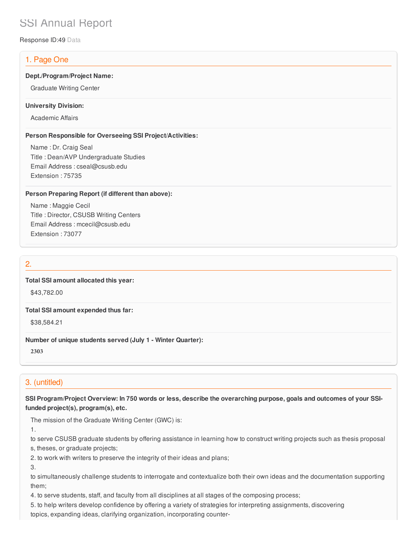# SSI Annual Report

Response ID:49 Data

### 1. Page One

#### **Dept./Program/Project Name:**

Graduate Writing Center

#### **University Division:**

Academic Affairs

#### **Person Responsible for Overseeing SSI Project/Activities:**

Name : Dr. Craig Seal Title : Dean/AVP Undergraduate Studies Email Address : cseal@csusb.edu Extension : 75735

### **Person Preparing Report (if different than above):**

Name : Maggie Cecil Title : Director, CSUSB Writing Centers Email Address : mcecil@csusb.edu Extension : 73077

### 2.

### **Total SSI amount allocated this year:**

\$43,782.00

#### **Total SSI amount expended thus far:**

\$38,584.21

### **Number of unique students served (July 1 - Winter Quarter):**

**2303**

### 3. (untitled)

**SSI Program/Project Overview: In 750 words or less, describe the overarching purpose, goals and outcomes of your SSIfunded project(s), program(s), etc.**

The mission of the Graduate Writing Center (GWC) is:

1.

to serve CSUSB graduate students by offering assistance in learning how to construct writing projects such as thesis proposal

s, theses, or graduate projects;

2. to work with writers to preserve the integrity of their ideas and plans;

3.

to simultaneously challenge students to interrogate and contextualize both their own ideas and the documentation supporting them;

4. to serve students, staff, and faculty from all disciplines at all stages of the composing process;

5. to help writers develop confidence by offering a variety of strategies for interpreting assignments, discovering

topics, expanding ideas, clarifying organization, incorporating counter‐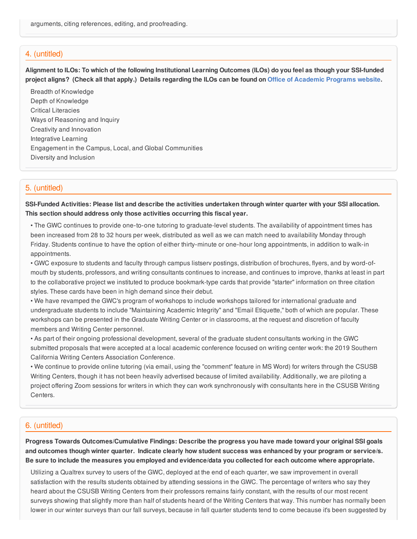### 4. (untitled)

Alignment to ILOs: To which of the following Institutional Learning Outcomes (ILOs) do you feel as though your SSI-funded project aligns? (Check all that apply.) Details regarding the ILOs can be found on Office of [Academic](https://www.csusb.edu/sites/csusb/files/CSUSB_Institutional_Learning_Outcomes-Endorsed.pdf) Programs website.

Breadth of Knowledge Depth of Knowledge Critical Literacies Ways of Reasoning and Inquiry Creativity and Innovation Integrative Learning Engagement in the Campus, Local, and Global Communities Diversity and Inclusion

### 5. (untitled)

SSI-Funded Activities: Please list and describe the activities undertaken through winter quarter with your SSI allocation. **This section should address only those activities occurring this fiscal year.**

• The GWC continues to provide one‐to‐one tutoring to graduate-level students. The availability of appointment times has been increased from 28 to 32 hours per week, distributed as well as we can match need to availability Monday through Friday. Students continue to have the option of either thirty‐minute or one‐hour long appointments, in addition to walk‐in appointments.

• GWC exposure to students and faculty through campus listserv postings, distribution of brochures, flyers, and by word‐of‐ mouth by students, professors, and writing consultants continues to increase, and continues to improve, thanks at least in part to the collaborative project we instituted to produce bookmark-type cards that provide "starter" information on three citation styles. These cards have been in high demand since their debut.

• We have revamped the GWC's program of workshops to include workshops tailored for international graduate and undergraduate students to include "Maintaining Academic Integrity" and "Email Etiquette," both of which are popular. These workshops can be presented in the Graduate Writing Center or in classrooms, at the request and discretion of faculty members and Writing Center personnel.

• As part of their ongoing professional development, several of the graduate student consultants working in the GWC submitted proposals that were accepted at a local academic conference focused on writing center work: the 2019 Southern California Writing Centers Association Conference.

• We continue to provide online tutoring (via email, using the "comment" feature in MS Word) for writers through the CSUSB Writing Centers, though it has not been heavily advertised because of limited availability. Additionally, we are piloting a project offering Zoom sessions for writers in which they can work synchronously with consultants here in the CSUSB Writing Centers.

### 6. (untitled)

**Progress Towards Outcomes/Cumulative Findings: Describe the progress you have made toward your original SSI goals** and outcomes though winter quarter. Indicate clearly how student success was enhanced by your program or service/s. Be sure to include the measures you employed and evidence/data you collected for each outcome where appropriate.

Utilizing a Qualtrex survey to users of the GWC, deployed at the end of each quarter, we saw improvement in overall satisfaction with the results students obtained by attending sessions in the GWC. The percentage of writers who say they heard about the CSUSB Writing Centers from their professors remains fairly constant, with the results of our most recent surveys showing that slightly more than half of students heard of the Writing Centers that way. This number has normally been lower in our winter surveys than our fall surveys, because in fall quarter students tend to come because it's been suggested by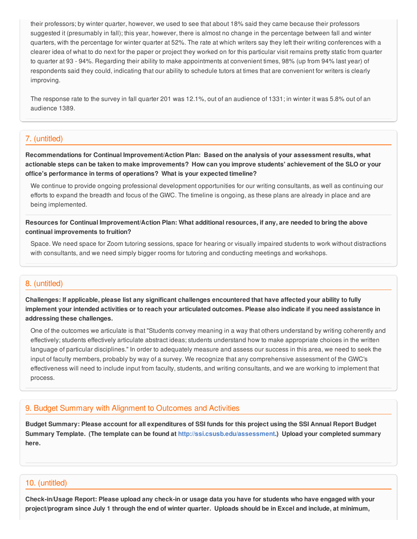their professors; by winter quarter, however, we used to see that about 18% said they came because their professors suggested it (presumably in fall); this year, however, there is almost no change in the percentage between fall and winter quarters, with the percentage for winter quarter at 52%. The rate at which writers say they left their writing conferences with a clearer idea of what to do next for the paper or project they worked on for this particular visit remains pretty static from quarter to quarter at 93 - 94%. Regarding their ability to make appointments at convenient times, 98% (up from 94% last year) of respondents said they could, indicating that our ability to schedule tutors at times that are convenient for writers is clearly improving.

The response rate to the survey in fall quarter 201 was 12.1%, out of an audience of 1331; in winter it was 5.8% out of an audience 1389.

### 7. (untitled)

**Recommendations for Continual Improvement/Action Plan: Based on the analysis of your assessment results, what** actionable steps can be taken to make improvements? How can you improve students' achievement of the SLO or your **office's performance in terms of operations? What is your expected timeline?**

We continue to provide ongoing professional development opportunities for our writing consultants, as well as continuing our efforts to expand the breadth and focus of the GWC. The timeline is ongoing, as these plans are already in place and are being implemented.

Resources for Continual Improvement/Action Plan: What additional resources, if any, are needed to bring the above **continual improvements to fruition?**

Space. We need space for Zoom tutoring sessions, space for hearing or visually impaired students to work without distractions with consultants, and we need simply bigger rooms for tutoring and conducting meetings and workshops.

### 8. (untitled)

Challenges: If applicable, please list any significant challenges encountered that have affected your ability to fully implement your intended activities or to reach your articulated outcomes. Please also indicate if you need assistance in **addressing these challenges.**

One of the outcomes we articulate is that "Students convey meaning in a way that others understand by writing coherently and effectively; students effectively articulate abstract ideas; students understand how to make appropriate choices in the written language of particular disciplines." In order to adequately measure and assess our success in this area, we need to seek the input of faculty members, probably by way of a survey. We recognize that any comprehensive assessment of the GWC's effectiveness will need to include input from faculty, students, and writing consultants, and we are working to implement that process.

### 9. Budget Summary with Alignment to Outcomes and Activities

Budget Summary: Please account for all expenditures of SSI funds for this project using the SSI Annual Report Budget **Summary Template. (The template can be found at <http://ssi.csusb.edu/assessment>.) Upload your completed summary here.**

### 10. (untitled)

Check-in/Usage Report: Please upload any check-in or usage data you have for students who have engaged with your project/program since July 1 through the end of winter quarter. Uploads should be in Excel and include, at minimum,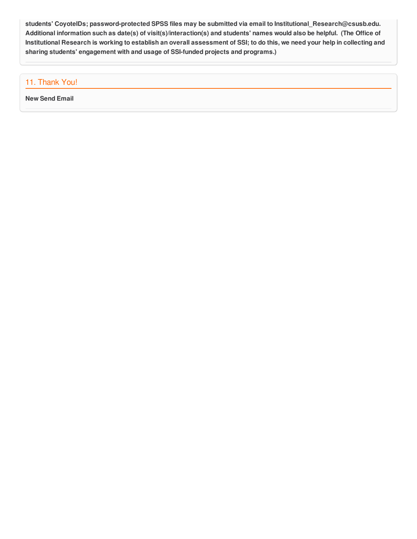**students' CoyoteIDs; password-protected SPSS files may be submitted via email to Institutional\_Research@csusb.edu.** Additional information such as date(s) of visit(s)/interaction(s) and students' names would also be helpful. (The Office of Institutional Research is working to establish an overall assessment of SSI; to do this, we need your help in collecting and **sharing students' engagement with and usage of SSI-funded projects and programs.)**

### 11. Thank You!

**New Send Email**